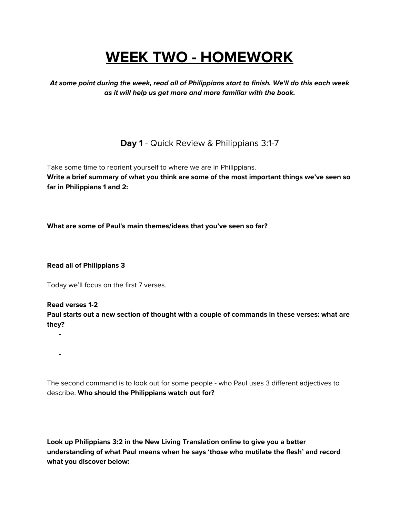# **WEEK TWO - HOMEWORK**

**At some point during the week, read all of Philippians start to finish. We'll do this each week as it will help us get more and more familiar with the book.**

**Day 1** - Quick Review & Philippians 3:1-7

Take some time to reorient yourself to where we are in Philippians. **Write a brief summary of what you think are some of the most important things we've seen so far in Philippians 1 and 2:**

**What are some of Paul's main themes/ideas that you've seen so far?**

**Read all of Philippians 3**

Today we'll focus on the first 7 verses.

**Read verses 1-2**

**-**

**-**

**Paul starts out a new section of thought with a couple of commands in these verses: what are they?**

The second command is to look out for some people - who Paul uses 3 different adjectives to describe. **Who should the Philippians watch out for?**

**Look up Philippians 3:2 in the New Living Translation online to give you a better understanding of what Paul means when he says 'those who mutilate the flesh' and record what you discover below:**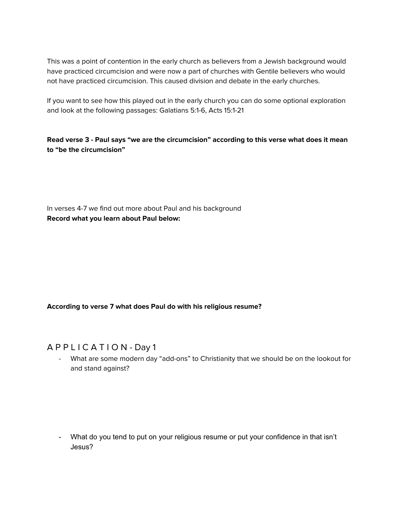This was a point of contention in the early church as believers from a Jewish background would have practiced circumcision and were now a part of churches with Gentile believers who would not have practiced circumcision. This caused division and debate in the early churches.

If you want to see how this played out in the early church you can do some optional exploration and look at the following passages: Galatians 5:1-6, Acts 15:1-21

**Read verse 3 - Paul says "we are the circumcision" according to this verse what does it mean to "be the circumcision"**

In verses 4-7 we find out more about Paul and his background **Record what you learn about Paul below:**

#### **According to verse 7 what does Paul do with his religious resume?**

#### A P P L I C A T I O N - Day 1

What are some modern day "add-ons" to Christianity that we should be on the lookout for and stand against?

- What do you tend to put on your religious resume or put your confidence in that isn't Jesus?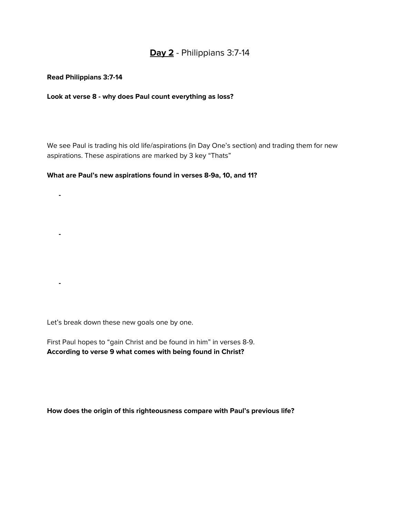## **Day 2** - Philippians 3:7-14

#### **Read Philippians 3:7-14**

#### **Look at verse 8 - why does Paul count everything as loss?**

We see Paul is trading his old life/aspirations (in Day One's section) and trading them for new aspirations. These aspirations are marked by 3 key "Thats"

#### **What are Paul's new aspirations found in verses 8-9a, 10, and 11?**

**- - -**

Let's break down these new goals one by one.

First Paul hopes to "gain Christ and be found in him" in verses 8-9. **According to verse 9 what comes with being found in Christ?**

**How does the origin of this righteousness compare with Paul's previous life?**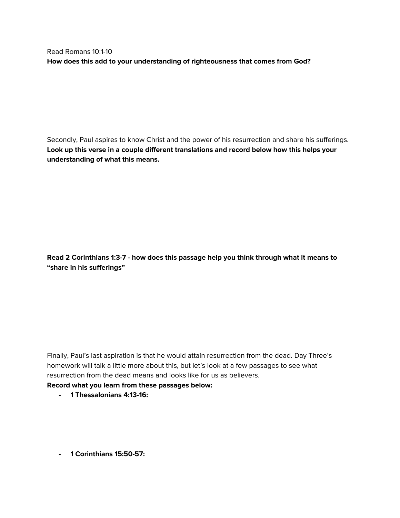Read Romans 10:1-10 **How does this add to your understanding of righteousness that comes from God?**

Secondly, Paul aspires to know Christ and the power of his resurrection and share his sufferings. **Look up this verse in a couple different translations and record below how this helps your understanding of what this means.**

**Read 2 Corinthians 1:3-7 - how does this passage help you think through what it means to "share in his sufferings"**

Finally, Paul's last aspiration is that he would attain resurrection from the dead. Day Three's homework will talk a little more about this, but let's look at a few passages to see what resurrection from the dead means and looks like for us as believers.

#### **Record what you learn from these passages below:**

- **- 1 Thessalonians 4:13-16:**
- **- 1 Corinthians 15:50-57:**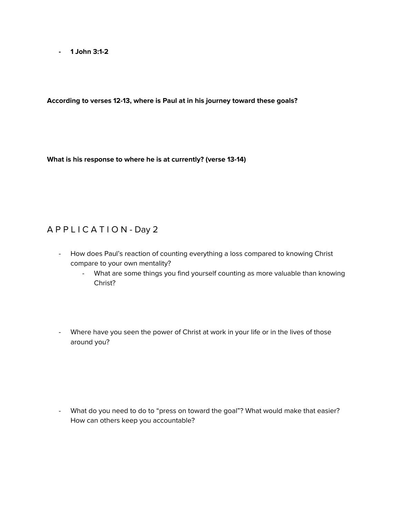**- 1 John 3:1-2**

**According to verses 12-13, where is Paul at in his journey toward these goals?**

**What is his response to where he is at currently? (verse 13-14)**

## A P P L I C A T I O N - Day 2

- How does Paul's reaction of counting everything a loss compared to knowing Christ compare to your own mentality?
	- What are some things you find yourself counting as more valuable than knowing Christ?
- Where have you seen the power of Christ at work in your life or in the lives of those around you?

- What do you need to do to "press on toward the goal"? What would make that easier? How can others keep you accountable?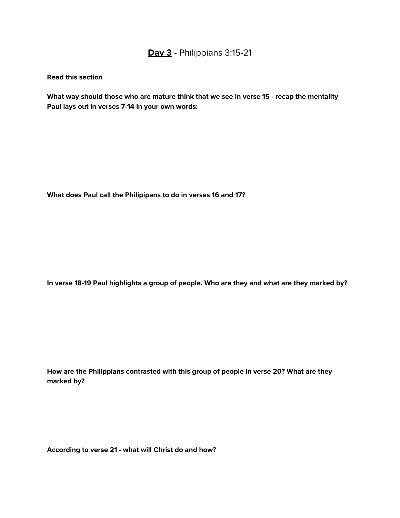# **Day 3** - Philippians 3:15-21

**Read this section**

**What way should those who are mature think that we see in verse 15 - recap the mentality Paul lays out in verses 7-14 in your own words:**

**What does Paul call the Philipipans to do in verses 16 and 17?**

**In verse 18-19 Paul highlights a group of people. Who are they and what are they marked by?**

**How are the Philippians contrasted with this group of people in verse 20? What are they marked by?**

**According to verse 21 - what will Christ do and how?**